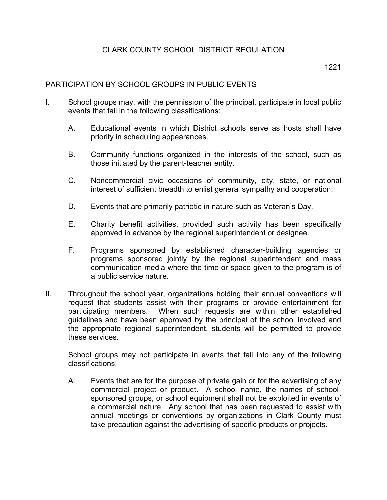## 1221

## PARTICIPATION BY SCHOOL GROUPS IN PUBLIC EVENTS

- I. School groups may, with the permission of the principal, participate in local public events that fall in the following classifications:
	- A. Educational events in which District schools serve as hosts shall have priority in scheduling appearances.
	- B. Community functions organized in the interests of the school, such as those initiated by the parent-teacher entity.
	- C. Noncommercial civic occasions of community, city, state, or national interest of sufficient breadth to enlist general sympathy and cooperation.
	- D. Events that are primarily patriotic in nature such as Veteran's Day.
	- E. Charity benefit activities, provided such activity has been specifically approved in advance by the regional superintendent or designee.
	- F. Programs sponsored by established character-building agencies or programs sponsored jointly by the regional superintendent and mass communication media where the time or space given to the program is of a public service nature.
- II. Throughout the school year, organizations holding their annual conventions will request that students assist with their programs or provide entertainment for participating members. When such requests are within other established guidelines and have been approved by the principal of the school involved and the appropriate regional superintendent, students will be permitted to provide these services.

School groups may not participate in events that fall into any of the following classifications:

A. Events that are for the purpose of private gain or for the advertising of any commercial project or product. A school name, the names of schoolsponsored groups, or school equipment shall not be exploited in events of a commercial nature. Any school that has been requested to assist with annual meetings or conventions by organizations in Clark County must take precaution against the advertising of specific products or projects.